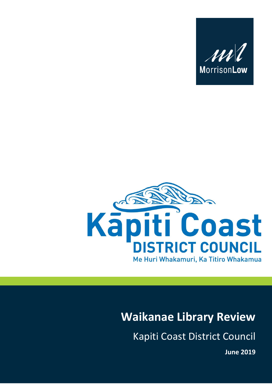



# **Waikanae Library Review**

Kapiti Coast District Council

**June 2019**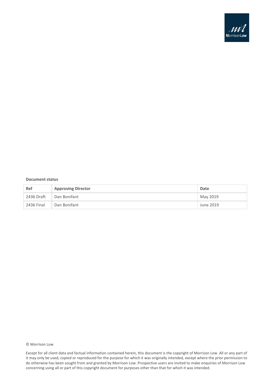

#### **Document status**

| Ref        | <b>Approving Director</b> | Date      |
|------------|---------------------------|-----------|
| 2436 Draft | Dan Bonifant              | May 2019  |
| 2436 Final | Dan Bonifant              | June 2019 |

#### © Morrison Low

Except for all client data and factual information contained herein, this document is the copyright of Morrison Low. All or any part of it may only be used, copied or reproduced for the purpose for which it was originally intended, except where the prior permission to do otherwise has been sought from and granted by Morrison Low. Prospective users are invited to make enquiries of Morrison Low concerning using all or part of this copyright document for purposes other than that for which it was intended.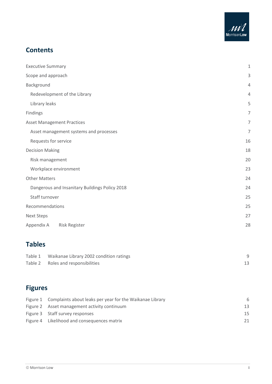

### **Contents**

| <b>Executive Summary</b>                       | $\mathbf{1}$   |
|------------------------------------------------|----------------|
| Scope and approach                             | 3              |
| Background                                     | $\overline{4}$ |
| Redevelopment of the Library                   | $\overline{4}$ |
| Library leaks                                  | 5              |
| Findings                                       | 7              |
| <b>Asset Management Practices</b>              | 7              |
| Asset management systems and processes         | 7              |
| Requests for service                           | 16             |
| <b>Decision Making</b>                         | 18             |
| Risk management                                | 20             |
| Workplace environment                          | 23             |
| <b>Other Matters</b>                           | 24             |
| Dangerous and Insanitary Buildings Policy 2018 | 24             |
| Staff turnover                                 | 25             |
| Recommendations                                | 25             |
| <b>Next Steps</b>                              | 27             |
| Appendix A<br><b>Risk Register</b>             | 28             |

# **Tables**

| Table 1 Waikanae Library 2002 condition ratings |  |
|-------------------------------------------------|--|
| Table 2 Roles and responsibilities              |  |

# **Figures**

| Figure 1 Complaints about leaks per year for the Waikanae Library | 6  |
|-------------------------------------------------------------------|----|
| Figure 2 Asset management activity continuum                      | 13 |
| Figure 3 Staff survey responses                                   | 15 |
| Figure 4 Likelihood and consequences matrix                       | 21 |
|                                                                   |    |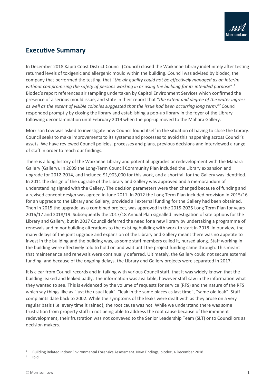

### <span id="page-3-0"></span>**Executive Summary**

In December 2018 Kapiti Coast District Council (Council) closed the Waikanae Library indefinitely after testing returned levels of toxigenic and allergenic mould within the building. Council was advised by biodec, the company that performed the testing, that "*the air quality could not be effectively managed as an interim without compromising the safety of persons working in or using the building for its intended purpose*".<sup>1</sup> Biodec's report references air sampling undertaken by Capitol Environment Services which confirmed the presence of a serious mould issue, and state in their report that "*the extent and degree of the water ingress as well as the extent of visible colonies suggested that the issue had been occurring long term*." <sup>2</sup> Council responded promptly by closing the library and establishing a pop-up library in the foyer of the Library following decontamination until February 2019 when the pop-up moved to the Mahara Gallery.

Morrison Low was asked to investigate how Council found itself in the situation of having to close the Library. Council seeks to make improvements to its systems and processes to avoid this happening across Council's assets. We have reviewed Council policies, processes and plans, previous decisions and interviewed a range of staff in order to reach our findings.

There is a long history of the Waikanae Library and potential upgrades or redevelopment with the Mahara Gallery (Gallery). In 2009 the Long-Term Council Community Plan included the Library expansion and upgrade for 2012-2014, and included \$1,903,000 for this work, and a shortfall for the Gallery was identified. In 2011 the design of the upgrade of the Library and Gallery was approved and a memorandum of understanding signed with the Gallery. The decision parameters were then changed because of funding and a revised concept design was agreed in June 2011. In 2012 the Long Term Plan included provision in 2015/16 for an upgrade to the Library and Gallery, provided all external funding for the Gallery had been obtained. Then in 2015 the upgrade, as a combined project, was approved in the 2015-2025 Long Term Plan for years 2016/17 and 2018/19. Subsequently the 2017/18 Annual Plan signalled investigation of site options for the Library and Gallery, but in 2017 Council deferred the need for a new library by undertaking a programme of renewals and minor building alterations to the existing building with work to start in 2018. In our view, the many delays of the joint upgrade and expansion of the Library and Gallery meant there was no appetite to invest in the building and the building was, as some staff members called it, nursed along. Staff working in the building were effectively told to hold on and wait until the project funding came through. This meant that maintenance and renewals were continually deferred. Ultimately, the Gallery could not secure external funding, and because of the ongoing delays, the Library and Gallery projects were separated in 2017.

It is clear from Council records and in talking with various Council staff, that it was widely known that the building leaked and leaked badly. The information was available, however staff saw in the information what they wanted to see. This is evidenced by the volume of requests for service (RFS) and the nature of the RFS which say things like as "just the usual leak", "leak in the same places as last time", "same old leak". Staff complaints date back to 2002. While the symptoms of the leaks were dealt with as they arose on a very regular basis (i.e. every time it rained), the root cause was not. While we understand there was some frustration from property staff in not being able to address the root cause because of the imminent redevelopment, their frustration was not conveyed to the Senior Leadership Team (SLT) or to Councillors as decision makers.

2 Ibid

<sup>1</sup> Building Related Indoor Environmental Forensics Assessment. New Findings, biodec, 4 December 2018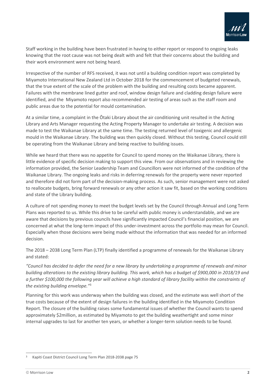

Staff working in the building have been frustrated in having to either report or respond to ongoing leaks knowing that the root cause was not being dealt with and felt that their concerns about the building and their work environment were not being heard.

Irrespective of the number of RFS received, it was not until a building condition report was completed by Miyamoto International New Zealand Ltd in October 2018 for the commencement of budgeted renewals, that the true extent of the scale of the problem with the building and resulting costs became apparent. Failures with the membrane lined gutter and roof, window design failure and cladding design failure were identified, and the Miyamoto report also recommended air testing of areas such as the staff room and public areas due to the potential for mould contamination.

At a similar time, a complaint in the Ōtaki Library about the air conditioning unit resulted in the Acting Library and Arts Manager requesting the Acting Property Manager to undertake air testing. A decision was made to test the Waikanae Library at the same time. The testing returned level of toxigenic and allergenic mould in the Waikanae Library. The building was then quickly closed. Without this testing, Council could still be operating from the Waikanae Library and being reactive to building issues.

While we heard that there was no appetite for Council to spend money on the Waikanae Library, there is little evidence of specific decision making to support this view. From our observations and in reviewing the information provided, the Senior Leadership Team and Councillors were not informed of the condition of the Waikanae Library. The ongoing leaks and risks in deferring renewals for the property were never reported and therefore did not form part of the decision-making process. As such, senior management were not asked to reallocate budgets, bring forward renewals or any other action it saw fit, based on the working conditions and state of the Library building.

A culture of not spending money to meet the budget levels set by the Council through Annual and Long Term Plans was reported to us. While this drive to be careful with public money is understandable, and we are aware that decisions by previous councils have significantly impacted Council's financial position, we are concerned at what the long-term impact of this under-investment across the portfolio may mean for Council. Especially when those decisions were being made without the information that was needed for an informed decision.

The 2018 – 2038 Long Term Plan (LTP) finally identified a programme of renewals for the Waikanae Library and stated:

*"Council has decided to defer the need for a new library by undertaking a programme of renewals and minor building alterations to the existing library building. This work, which has a budget of \$900,000 in 2018/19 and a further \$100,000 the following year will achieve a high standard of library facility within the constraints of the existing building envelope."*<sup>3</sup>

Planning for this work was underway when the building was closed, and the estimate was well short of the true costs because of the extent of design failures in the building identified in the Miyamoto Condition Report. The closure of the building raises some fundamental issues of whether the Council wants to spend approximately \$2million, as estimated by Miyamoto to get the building weathertight and some minor internal upgrades to last for another ten years, or whether a longer-term solution needs to be found.

 $\overline{a}$ <sup>3</sup> Kapiti Coast District Council Long Term Plan 2018-2038 page 75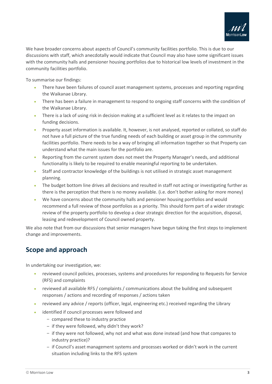

We have broader concerns about aspects of Council's community facilities portfolio. This is due to our discussions with staff, which anecdotally would indicate that Council may also have some significant issues with the community halls and pensioner housing portfolios due to historical low levels of investment in the community facilities portfolio.

To summarise our findings:

- There have been failures of council asset management systems, processes and reporting regarding the Waikanae Library.
- There has been a failure in management to respond to ongoing staff concerns with the condition of the Waikanae Library.
- There is a lack of using risk in decision making at a sufficient level as it relates to the impact on funding decisions.
- Property asset information is available. It, however, is not analysed, reported or collated, so staff do not have a full picture of the true funding needs of each building or asset group in the community facilities portfolio. There needs to be a way of bringing all information together so that Property can understand what the main issues for the portfolio are.
- Reporting from the current system does not meet the Property Manager's needs, and additional functionality is likely to be required to enable meaningful reporting to be undertaken.
- Staff and contractor knowledge of the buildings is not utilised in strategic asset management planning.
- The budget bottom line drives all decisions and resulted in staff not acting or investigating further as there is the perception that there is no money available. (i.e. don't bother asking for more money)
- We have concerns about the community halls and pensioner housing portfolios and would recommend a full review of those portfolios as a priority. This should form part of a wider strategic review of the property portfolio to develop a clear strategic direction for the acquisition, disposal, leasing and redevelopment of Council owned property.

We also note that from our discussions that senior managers have begun taking the first steps to implement change and improvements.

### <span id="page-5-0"></span>**Scope and approach**

In undertaking our investigation, we:

- reviewed council policies, processes, systems and procedures for responding to Requests for Service (RFS) and complaints
- reviewed all available RFS / complaints / communications about the building and subsequent responses / actions and recording of responses / actions taken
- reviewed any advice / reports (officer, legal, engineering etc.) received regarding the Library
- identified if council processes were followed and
	- compared these to industry practice
	- if they were followed, why didn't they work?
	- if they were not followed, why not and what was done instead (and how that compares to industry practice)?
	- if Council's asset management systems and processes worked or didn't work in the current situation including links to the RFS system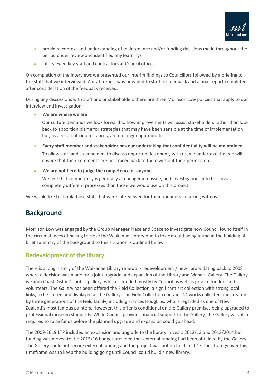

- provided context and understanding of maintenance and/or funding decisions made throughout the period under review and identified any learnings
- interviewed key staff and contractors at Council offices.

On completion of the interviews we presented our interim findings to Councillors followed by a briefing to the staff that we interviewed. A draft report was provided to staff for feedback and a final report completed after consideration of the feedback received.

During any discussions with staff and or stakeholders there are three Morrison Low policies that apply to our interview and investigation.

#### • **We are where we are**

Our culture demands we look forward to how improvements will assist stakeholders rather than look back to apportion blame for strategies that may have been sensible at the time of implementation but, as a result of circumstances, are no longer appropriate.

- **Every staff member and stakeholder has our undertaking that confidentiality will be maintained** To allow staff and stakeholders to discuss opportunities openly with us, we undertake that we will ensure that their comments are not traced back to them without their permission.
- **We are not here to judge the competence of anyone**

We feel that competency is generally a management issue, and investigations into this involve completely different processes than those we would use on this project.

We would like to thank those staff that were interviewed for their openness in talking with us.

### <span id="page-6-0"></span>**Background**

Morrison Low was engaged by the Group Manager Place and Space to investigate how Council found itself in the circumstances of having to close the Waikanae Library due to toxic mould being found in the building. A brief summary of the background to this situation is outlined below.

### <span id="page-6-1"></span>**Redevelopment of the library**

There is a long history of the Waikanae Library renewal / redevelopment / new library dating back to 2008 where a decision was made for a joint upgrade and expansion of the Library and Mahara Gallery. The Gallery is Kapiti Coast District's public gallery, which is funded mostly by Council as well as private funders and volunteers. The Gallery has been offered the Field Collection, a significant art collection with strong local links, to be stored and displayed at the Gallery. The Field Collection contains 44 works collected and created by three generations of the Field family, including Frances Hodgkins, who is regarded as one of New Zealand's most famous painters. However, this offer is conditional on the Gallery premises being upgraded to professional museum standards. While Council provides financial support to the Gallery, the Gallery was also required to raise funds before the planned upgrade and expansion could go ahead.

The 2009-2019 LTP included an expansion and upgrade to the library in years 2012/13 and 2013/2014 but funding was moved to the 2015/16 budget provided that external funding had been obtained by the Gallery. The Gallery could not secure external funding and the project was put on hold in 2017.The strategy over this timeframe was to keep the building going until Council could build a new library.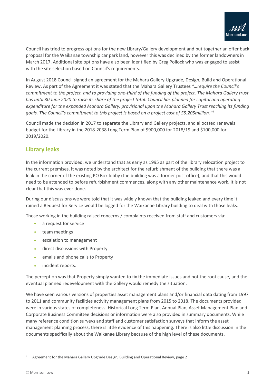

Council has tried to progress options for the new Library/Gallery development and put together an offer back proposal for the Waikanae township car park land, however this was declined by the former landowners in March 2017. Additional site options have also been identified by Greg Pollock who was engaged to assist with the site selection based on Council's requirements.

In August 2018 Council signed an agreement for the Mahara Gallery Upgrade, Design, Build and Operational Review. As part of the Agreement it was stated that the Mahara Gallery Trustees *"…require the Council's commitment to the project, and to providing one-third of the funding of the project. The Mahara Gallery trust has until 30 June 2020 to raise its share of the project total. Council has planned for capital and operating expenditure for the expanded Mahara Gallery, provisional upon the Mahara Gallery Trust reaching its funding goals. The Council's commitment to this project is based on a project cost of \$5.205million." 4*

Council made the decision in 2017 to separate the Library and Gallery projects, and allocated renewals budget for the Library in the 2018-2038 Long Term Plan of \$900,000 for 2018/19 and \$100,000 for 2019/2020.

### <span id="page-7-0"></span>**Library leaks**

In the information provided, we understand that as early as 1995 as part of the library relocation project to the current premises, it was noted by the architect for the refurbishment of the building that there was a leak in the corner of the existing PO Box lobby (the building was a former post office), and that this would need to be attended to before refurbishment commences, along with any other maintenance work. It is not clear that this was ever done.

During our discussions we were told that it was widely known that the building leaked and every time it rained a Request for Service would be logged for the Waikanae Library building to deal with those leaks.

Those working in the building raised concerns / complaints received from staff and customers via:

- a request for service
- team meetings
- escalation to management
- direct discussions with Property
- emails and phone calls to Property
- incident reports.

The perception was that Property simply wanted to fix the immediate issues and not the root cause, and the eventual planned redevelopment with the Gallery would remedy the situation.

We have seen various versions of properties asset management plans and/or financial data dating from 1997 to 2011 and community facilities activity management plans from 2015 to 2018. The documents provided were in various states of completeness. Historical Long Term Plan, Annual Plan, Asset Management Plan and Corporate Business Committee decisions or information were also provided in summary documents. While many reference condition surveys and staff and customer satisfaction surveys that inform the asset management planning process, there is little evidence of this happening. There is also little discussion in the documents specifically about the Waikanae Library because of the high level of these documents.

<sup>4</sup> Agreement for the Mahara Gallery Upgrade Design, Building and Operational Review, page 2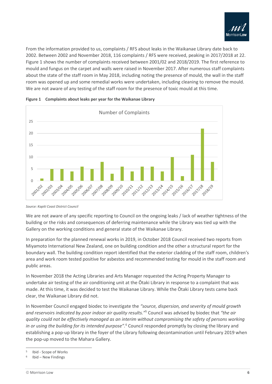

From the information provided to us, complaints / RFS about leaks in the Waikanae Library date back to 2002. Between 2002 and November 2018, 116 complaints / RFS were received, peaking in 2017/2018 at 22. Figure 1 shows the number of complaints received between 2001/02 and 2018/2019. The first reference to mould and fungus on the carpet and walls were raised in November 2017. After numerous staff complaints about the state of the staff room in May 2018, including noting the presence of mould, the wall in the staff room was opened up and some remedial works were undertaken, including cleaning to remove the mould. We are not aware of any testing of the staff room for the presence of toxic mould at this time.



<span id="page-8-0"></span>

We are not aware of any specific reporting to Council on the ongoing leaks / lack of weather tightness of the building or the risks and consequences of deferring maintenance while the Library was tied up with the Gallery on the working conditions and general state of the Waikanae Library.

In preparation for the planned renewal works in 2019, in October 2018 Council received two reports from Miyamoto International New Zealand, one on building condition and the other a structural report for the boundary wall. The building condition report identified that the exterior cladding of the staff room, children's area and work room tested positive for asbestos and recommended testing for mould in the staff room and public areas.

In November 2018 the Acting Libraries and Arts Manager requested the Acting Property Manager to undertake air testing of the air conditioning unit at the Ōtaki Library in response to a complaint that was made. At this time, it was decided to test the Waikanae Library. While the Ōtaki Library tests came back clear, the Waikanae Library did not.

In November Council engaged biodec to investigate the *"source, dispersion, and severity of mould growth and reservoirs indicated by poor indoor air quality results."*<sup>5</sup> Council was advised by biodec that *"the air quality could not be effectively managed as an interim without compromising the safety of persons working in or using the building for its intended purpose".*<sup>6</sup> Council responded promptly by closing the library and establishing a pop-up library in the foyer of the Library following decontamination until February 2019 when the pop-up moved to the Mahara Gallery.

*Source: Kapiti Coast District Council*

<sup>5</sup> Ibid - Scope of Works

<sup>6</sup> Ibid – New Findings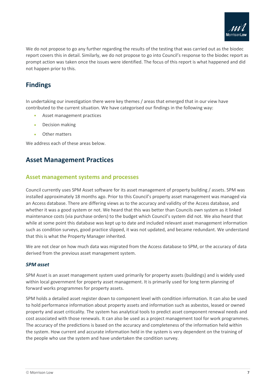

We do not propose to go any further regarding the results of the testing that was carried out as the biodec report covers this in detail. Similarly, we do not propose to go into Council's response to the biodec report as prompt action was taken once the issues were identified. The focus of this report is what happened and did not happen prior to this.

### <span id="page-9-0"></span>**Findings**

In undertaking our investigation there were key themes / areas that emerged that in our view have contributed to the current situation. We have categorised our findings in the following way:

- Asset management practices
- Decision making
- Other matters

We address each of these areas below.

### <span id="page-9-1"></span>**Asset Management Practices**

### <span id="page-9-2"></span>**Asset management systems and processes**

Council currently uses SPM Asset software for its asset management of property building / assets. SPM was installed approximately 18 months ago. Prior to this Council's property asset management was managed via an Access database. There are differing views as to the accuracy and validity of the Access database, and whether it was a good system or not. We heard that this was better than Councils own system as it linked maintenance costs (via purchase orders) to the budget which Council's system did not. We also heard that while at some point this database was kept up to date and included relevant asset management information such as condition surveys, good practice slipped, it was not updated, and became redundant. We understand that this is what the Property Manager inherited.

We are not clear on how much data was migrated from the Access database to SPM, or the accuracy of data derived from the previous asset management system.

#### *SPM asset*

SPM Asset is an asset management system used primarily for property assets (buildings) and is widely used within local government for property asset management. It is primarily used for long term planning of forward works programmes for property assets.

SPM holds a detailed asset register down to component level with condition information. It can also be used to hold performance information about property assets and information such as asbestos, leased or owned property and asset criticality. The system has analytical tools to predict asset component renewal needs and cost associated with those renewals. It can also be used as a project management tool for work programmes. The accuracy of the predictions is based on the accuracy and completeness of the information held within the system. How current and accurate information held in the system is very dependent on the training of the people who use the system and have undertaken the condition survey.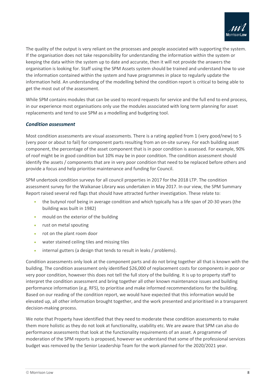

The quality of the output is very reliant on the processes and people associated with supporting the system. If the organisation does not take responsibility for understanding the information within the system or keeping the data within the system up to date and accurate, then it will not provide the answers the organisation is looking for. Staff using the SPM Assets system should be trained and understand how to use the information contained within the system and have programmes in place to regularly update the information held. An understanding of the modelling behind the condition report is critical to being able to get the most out of the assessment.

While SPM contains modules that can be used to record requests for service and the full end to end process, in our experience most organisations only use the modules associated with long term planning for asset replacements and tend to use SPM as a modelling and budgeting tool.

#### *Condition assessment*

Most condition assessments are visual assessments. There is a rating applied from 1 (very good/new) to 5 (very poor or about to fail) for component parts resulting from an on-site survey. For each building asset component, the percentage of the asset component that is in poor condition is assessed. For example, 90% of roof might be in good condition but 10% may be in poor condition. The condition assessment should identify the assets / components that are in very poor condition that need to be replaced before others and provide a focus and help prioritise maintenance and funding for Council.

SPM undertook condition surveys for all council properties in 2017 for the 2018 LTP. The condition assessment survey for the Waikanae Library was undertaken in May 2017. In our view, the SPM Summary Report raised several red flags that should have attracted further investigation. These relate to:

- the butynol roof being in average condition and which typically has a life span of 20-30 years (the building was built in 1982)
- mould on the exterior of the building
- rust on metal spouting
- rot on the plant room door
- water stained ceiling tiles and missing tiles
- internal gutters (a design that tends to result in leaks / problems).

Condition assessments only look at the component parts and do not bring together all that is known with the building. The condition assessment only identified \$26,000 of replacement costs for components in poor or very poor condition, however this does not tell the full story of the building. It is up to property staff to interpret the condition assessment and bring together all other known maintenance issues and building performance information (e.g. RFS), to prioritise and make informed recommendations for the building. Based on our reading of the condition report, we would have expected that this information would be elevated up, all other information brought together, and the work presented and prioritised in a transparent decision-making process.

We note that Property have identified that they need to moderate these condition assessments to make them more holistic as they do not look at functionality, usability etc. We are aware that SPM can also do performance assessments that look at the functionality requirements of an asset. A programme of moderation of the SPM reports is proposed, however we understand that some of the professional services budget was removed by the Senior Leadership Team for the work planned for the 2020/2021 year.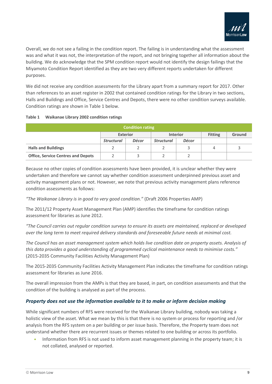

Overall, we do not see a failing in the condition report. The failing is in understanding what the assessment was and what it was not, the interpretation of the report, and not bringing together all information about the building. We do acknowledge that the SPM condition report would not identify the design failings that the Miyamoto Condition Report identified as they are two very different reports undertaken for different purposes.

We did not receive any condition assessments for the Library apart from a summary report for 2017. Other than references to an asset register in 2002 that contained condition ratings for the Library in two sections, Halls and Buildings and Office, Service Centres and Depots, there were no other condition surveys available. Condition ratings are shown in Table 1 below.

#### <span id="page-11-0"></span>**Table 1 Waikanae Library 2002 condition ratings**

| <b>Condition rating</b>                   |                   |                 |                   |                 |                |               |  |  |  |  |  |
|-------------------------------------------|-------------------|-----------------|-------------------|-----------------|----------------|---------------|--|--|--|--|--|
|                                           |                   | <b>Exterior</b> |                   | <b>Interior</b> | <b>Fitting</b> | <b>Ground</b> |  |  |  |  |  |
|                                           | <b>Structural</b> | <b>Décor</b>    | <b>Structural</b> | Décor           |                |               |  |  |  |  |  |
| <b>Halls and Buildings</b>                |                   |                 |                   |                 | 4              |               |  |  |  |  |  |
| <b>Office, Service Centres and Depots</b> |                   |                 |                   |                 |                |               |  |  |  |  |  |

Because no other copies of condition assessments have been provided, it is unclear whether they were undertaken and therefore we cannot say whether condition assessment underpinned previous asset and activity management plans or not. However, we note that previous activity management plans reference condition assessments as follows:

*"The Waikanae Library is in good to very good condition."* (Draft 2006 Properties AMP)

The 2011/12 Property Asset Management Plan (AMP) identifies the timeframe for condition ratings assessment for libraries as June 2012.

*"The Council carries out regular condition surveys to ensure its assets are maintained, replaced or developed over the long term to meet required delivery standards and foreseeable future needs at minimal cost.*

*The Council has an asset management system which holds live condition date on property assets. Analysis of this data provides a good understanding of programmed cyclical maintenance needs to minimise costs."* (2015-2035 Community Facilities Activity Management Plan)

The 2015-2035 Community Facilities Activity Management Plan indicates the timeframe for condition ratings assessment for libraries as June 2016.

The overall impression from the AMPs is that they are based, in part, on condition assessments and that the condition of the building is analysed as part of the process.

### *Property does not use the information available to it to make or inform decision making*

While significant numbers of RFS were received for the Waikanae Library building, nobody was taking a holistic view of the asset. What we mean by this is that there is no system or process for reporting and /or analysis from the RFS system on a per building or per issue basis. Therefore, the Property team does not understand whether there are recurrent issues or themes related to one building or across its portfolio.

• Information from RFS is not used to inform asset management planning in the property team; it is not collated, analysed or reported.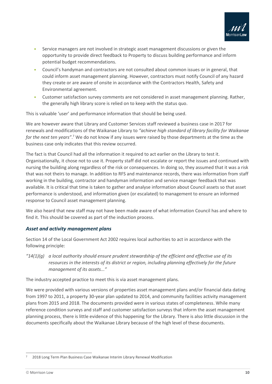

- Service managers are not involved in strategic asset management discussions or given the opportunity to provide direct feedback to Property to discuss building performance and inform potential budget recommendations.
- Council's handyman and contractors are not consulted about common issues or in general, that could inform asset management planning. However, contractors must notify Council of any hazard they create or are aware of onsite in accordance with the Contractors Health, Safety and Environmental agreement.
- Customer satisfaction survey comments are not considered in asset management planning. Rather, the generally high library score is relied on to keep with the status quo.

This is valuable 'user' and performance information that should be being used.

We are however aware that Library and Customer Services staff reviewed a business case in 2017 for renewals and modifications of the Waikanae Library to *"achieve high standard of library facility for Waikanae for the next ten years"*. <sup>7</sup> We do not know if any issues were raised by those departments at the time as the business case only indicates that this review occurred.

The fact is that Council had all the information it required to act earlier on the Library to test it. Organisationally, it chose not to use it. Property staff did not escalate or report the issues and continued with nursing the building along regardless of the risk or consequences. In doing so, they assumed that it was a risk that was not theirs to manage. In addition to RFS and maintenance records, there was information from staff working in the building, contractor and handyman information and service manager feedback that was available. It is critical that time is taken to gather and analyse information about Council assets so that asset performance is understood, and information given (or escalated) to management to ensure an informed response to Council asset management planning.

We also heard that new staff may not have been made aware of what information Council has and where to find it. This should be covered as part of the induction process.

#### *Asset and activity management plans*

Section 14 of the Local Government Act 2002 requires local authorities to act in accordance with the following principle:

*"14(1)(g) a local authority should ensure prudent stewardship of the efficient and effective use of its resources in the interests of its district or region, including planning effectively for the future management of its assets..."*

The industry accepted practice to meet this is via asset management plans.

We were provided with various versions of properties asset management plans and/or financial data dating from 1997 to 2011, a property 30-year plan updated to 2014, and community facilities activity management plans from 2015 and 2018. The documents provided were in various states of completeness. While many reference condition surveys and staff and customer satisfaction surveys that inform the asset management planning process, there is little evidence of this happening for the Library. There is also little discussion in the documents specifically about the Waikanae Library because of the high level of these documents.

<sup>7</sup> 2018 Long Term Plan Business Case Waikanae Interim Library Renewal Modification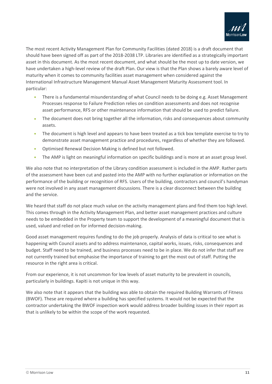

The most recent Activity Management Plan for Community Facilities (dated 2018) is a draft document that should have been signed off as part of the 2018-2038 LTP. Libraries are identified as a strategically important asset in this document. As the most recent document, and what should be the most up to date version, we have undertaken a high-level review of the draft Plan. Our view is that the Plan shows a barely aware level of maturity when it comes to community facilities asset management when considered against the International Infrastructure Management Manual Asset Management Maturity Assessment tool. In particular:

- There is a fundamental misunderstanding of what Council needs to be doing e.g. Asset Management Processes response to Failure Prediction relies on condition assessments and does not recognise asset performance, RFS or other maintenance information that should be used to predict failure.
- The document does not bring together all the information, risks and consequences about community assets.
- The document is high level and appears to have been treated as a tick box template exercise to try to demonstrate asset management practice and procedures, regardless of whether they are followed.
- Optimised Renewal Decision Making is defined but not followed.
- The AMP is light on meaningful information on specific buildings and is more at an asset group level.

We also note that no interpretation of the Library condition assessment is included in the AMP. Rather parts of the assessment have been cut and pasted into the AMP with no further explanation or information on the performance of the building or recognition of RFS. Users of the building, contractors and council's handyman were not involved in any asset management discussions. There is a clear disconnect between the building and the service.

We heard that staff do not place much value on the activity management plans and find them too high level. This comes through in the Activity Management Plan, and better asset management practices and culture needs to be embedded in the Property team to support the development of a meaningful document that is used, valued and relied on for informed decision-making.

Good asset management requires funding to do the job properly. Analysis of data is critical to see what is happening with Council assets and to address maintenance, capital works, issues, risks, consequences and budget. Staff need to be trained, and business processes need to be in place. We do not infer that staff are not currently trained but emphasise the importance of training to get the most out of staff. Putting the resource in the right area is critical.

From our experience, it is not uncommon for low levels of asset maturity to be prevalent in councils, particularly in buildings. Kapiti is not unique in this way.

We also note that it appears that the building was able to obtain the required Building Warrants of Fitness (BWOF). These are required where a building has specified systems. It would not be expected that the contractor undertaking the BWOF inspection work would address broader building issues in their report as that is unlikely to be within the scope of the work requested.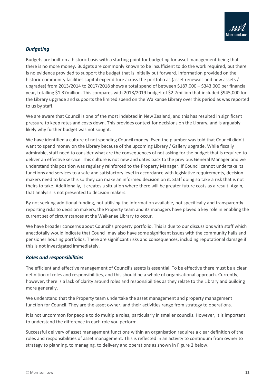

### *Budgeting*

Budgets are built on a historic basis with a starting point for budgeting for asset management being that there is no more money. Budgets are commonly known to be insufficient to do the work required, but there is no evidence provided to support the budget that is initially put forward. Information provided on the historic community facilities capital expenditure across the portfolio as (asset renewals and new assets / upgrades) from 2013/2014 to 2017/2018 shows a total spend of between \$187,000 – \$343,000 per financial year, totalling \$1.37million. This compares with 2018/2019 budget of \$2.7million that included \$945,000 for the Library upgrade and supports the limited spend on the Waikanae Library over this period as was reported to us by staff.

We are aware that Council is one of the most indebted in New Zealand, and this has resulted in significant pressure to keep rates and costs down. This provides context for decisions on the Library, and is arguably likely why further budget was not sought.

We have identified a culture of not spending Council money. Even the plumber was told that Council didn't want to spend money on the Library because of the upcoming Library / Gallery upgrade. While fiscally admirable, staff need to consider what are the consequences of not asking for the budget that is required to deliver an effective service. This culture is not new and dates back to the previous General Manager and we understand this position was regularly reinforced to the Property Manager. If Council cannot undertake its functions and services to a safe and satisfactory level in accordance with legislative requirements, decision makers need to know this so they can make an informed decision on it. Staff doing so take a risk that is not theirs to take. Additionally, it creates a situation where there will be greater future costs as a result. Again, that analysis is not presented to decision makers.

By not seeking additional funding, not utilising the information available, not specifically and transparently reporting risks to decision makers, the Property team and its managers have played a key role in enabling the current set of circumstances at the Waikanae Library to occur.

We have broader concerns about Council's property portfolio. This is due to our discussions with staff which anecdotally would indicate that Council may also have some significant issues with the community halls and pensioner housing portfolios. There are significant risks and consequences, including reputational damage if this is not investigated immediately.

#### *Roles and responsibilities*

The efficient and effective management of Council's assets is essential. To be effective there must be a clear definition of roles and responsibilities, and this should be a whole of organisational approach. Currently, however, there is a lack of clarity around roles and responsibilities as they relate to the Library and building more generally.

We understand that the Property team undertake the asset management and property management function for Council. They are the asset owner, and their activities range from strategy to operations.

It is not uncommon for people to do multiple roles, particularly in smaller councils. However, it is important to understand the difference in each role you perform.

Successful delivery of asset management functions within an organisation requires a clear definition of the roles and responsibilities of asset management. This is reflected in an activity to continuum from owner to strategy to planning, to managing, to delivery and operations as shown in Figure 2 below.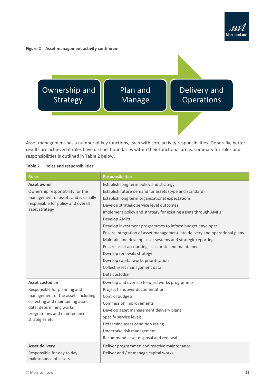

#### <span id="page-15-1"></span>**Figure 2 Asset management activity continuum**



Asset management has a number of key functions, each with core activity responsibilities. Generally, better results are achieved if roles have distinct boundaries within their functional areas. summary for roles and responsibilities is outlined in Table 2 below.

#### <span id="page-15-0"></span>**Table 2 Roles and responsibilities**

| <b>Roles</b>                                          | <b>Responsibilities</b>                                                    |  |  |  |  |  |
|-------------------------------------------------------|----------------------------------------------------------------------------|--|--|--|--|--|
| <b>Asset owner</b>                                    | Establish long term policy and strategy                                    |  |  |  |  |  |
| Ownership responsibility for the                      | Establish future demand for assets (type and standard)                     |  |  |  |  |  |
| management of assets and is usually                   | Establish long term organisational expectations                            |  |  |  |  |  |
| responsible for policy and overall                    | Develop strategic service level outcomes                                   |  |  |  |  |  |
| asset strategy                                        | Implement policy and strategy for existing assets through AMPs             |  |  |  |  |  |
|                                                       | Develop AMPs                                                               |  |  |  |  |  |
|                                                       | Develop investment programmes to inform budget envelopes                   |  |  |  |  |  |
|                                                       | Ensure integration of asset management into delivery and operational plans |  |  |  |  |  |
|                                                       | Maintain and develop asset systems and strategic reporting                 |  |  |  |  |  |
|                                                       | Ensure asset accounting is accurate and maintained                         |  |  |  |  |  |
|                                                       | Develop renewals strategy                                                  |  |  |  |  |  |
|                                                       | Develop capital works prioritisation                                       |  |  |  |  |  |
|                                                       | Collect asset management data                                              |  |  |  |  |  |
|                                                       | Data custodian                                                             |  |  |  |  |  |
| Asset custodian                                       | Develop and oversee forward works programme                                |  |  |  |  |  |
| Responsible for planning and                          | Project handover documentation                                             |  |  |  |  |  |
| management of the assets including                    | Control budgets                                                            |  |  |  |  |  |
| collecting and maintaining asset                      | Commission improvements                                                    |  |  |  |  |  |
| data, determining works<br>programmes and maintenance | Develop asset management delivery plans                                    |  |  |  |  |  |
| strategies etc                                        | Specify service levels                                                     |  |  |  |  |  |
|                                                       | Determine asset condition rating                                           |  |  |  |  |  |
|                                                       | Undertake risk management                                                  |  |  |  |  |  |
|                                                       | Recommend asset disposal and renewal                                       |  |  |  |  |  |
| <b>Asset delivery</b>                                 | Deliver programmed and reactive maintenance                                |  |  |  |  |  |
| Responsible for day to day                            | Deliver and / or manage capital works                                      |  |  |  |  |  |
| maintenance of assets                                 |                                                                            |  |  |  |  |  |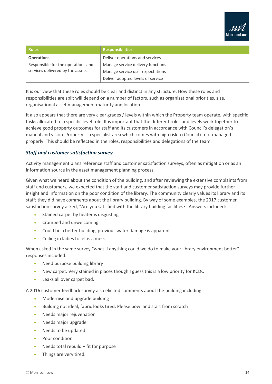

| <b>Roles</b>                       | <b>Responsibilities</b>           |  |  |  |  |
|------------------------------------|-----------------------------------|--|--|--|--|
| <b>Operations</b>                  | Deliver operations and services   |  |  |  |  |
| Responsible for the operations and | Manage service delivery functions |  |  |  |  |
| services delivered by the assets   | Manage service user expectations  |  |  |  |  |
|                                    | Deliver adopted levels of service |  |  |  |  |

It is our view that these roles should be clear and distinct in any structure. How these roles and responsibilities are split will depend on a number of factors, such as organisational priorities, size, organisational asset management maturity and location.

It also appears that there are very clear grades / levels within which the Property team operate, with specific tasks allocated to a specific level role. It is important that the different roles and levels work together to achieve good property outcomes for staff and its customers in accordance with Council's delegation's manual and vision. Property is a specialist area which comes with high risk to Council if not managed properly. This should be reflected in the roles, responsibilities and delegations of the team.

#### *Staff and customer satisfaction survey*

Activity management plans reference staff and customer satisfaction surveys, often as mitigation or as an information source in the asset management planning process.

Given what we heard about the condition of the building, and after reviewing the extensive complaints from staff and customers, we expected that the staff and customer satisfaction surveys may provide further insight and information on the poor condition of the library. The community clearly values its library and its staff; they did have comments about the library building. By way of some examples, the 2017 customer satisfaction survey asked, "Are you satisfied with the library building facilities?" Answers included:

- Stained carpet by heater is disgusting
- Cramped and unwelcoming
- Could be a better building, previous water damage is apparent
- Ceiling in ladies toilet is a mess.

When asked in the same survey "what if anything could we do to make your library environment better" responses included:

- Need purpose building library
- New carpet. Very stained in places though I guess this is a low priority for KCDC
- Leaks all over carpet bad.

A 2016 customer feedback survey also elicited comments about the building including:

- Modernise and upgrade building
- Building not ideal, fabric looks tired. Please bowl and start from scratch
- Needs major rejuvenation
- Needs major upgrade
- Needs to be updated
- Poor condition
- Needs total rebuild fit for purpose
- Things are very tired.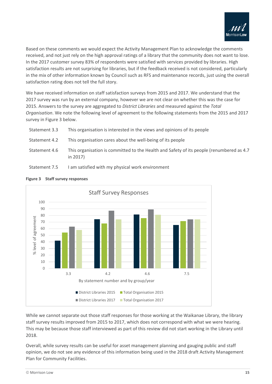

Based on these comments we would expect the Activity Management Plan to acknowledge the comments received, and not just rely on the high approval ratings of a library that the community does not want to lose. In the 2017 customer survey 83% of respondents were satisfied with services provided by libraries. High satisfaction results are not surprising for libraries, but if the feedback received is not considered, particularly in the mix of other information known by Council such as RFS and maintenance records, just using the overall satisfaction rating does not tell the full story.

We have received information on staff satisfaction surveys from 2015 and 2017. We understand that the 2017 survey was run by an external company, however we are not clear on whether this was the case for 2015. Answers to the survey are aggregated to *District Libraries* and measured against the *Total Organisation*. We note the following level of agreement to the following statements from the 2015 and 2017 survey in Figure 3 below.

| Statement 3.3 | This organisation is interested in the views and opinions of its people                               |
|---------------|-------------------------------------------------------------------------------------------------------|
| Statement 4.2 | This organisation cares about the well-being of its people                                            |
| Statement 4.6 | This organisation is committed to the Health and Safety of its people (renumbered as 4.7)<br>in 2017) |





#### <span id="page-17-0"></span>**Figure 3 Staff survey responses**

While we cannot separate out those staff responses for those working at the Waikanae Library, the library staff survey results improved from 2015 to 2017, which does not correspond with what we were hearing. This may be because those staff interviewed as part of this review did not start working in the Library until 2018.

Overall, while survey results can be useful for asset management planning and gauging public and staff opinion, we do not see any evidence of this information being used in the 2018 draft Activity Management Plan for Community Facilities.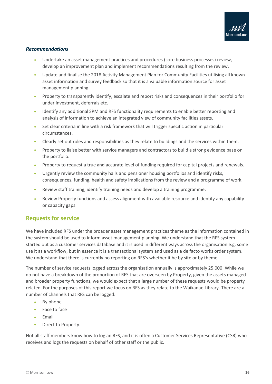

#### *Recommendations*

- Undertake an asset management practices and procedures (core business processes) review, develop an improvement plan and implement recommendations resulting from the review.
- Update and finalise the 2018 Activity Management Plan for Community Facilities utilising all known asset information and survey feedback so that it is a valuable information source for asset management planning.
- Property to transparently identify, escalate and report risks and consequences in their portfolio for under investment, deferrals etc.
- Identify any additional SPM and RFS functionality requirements to enable better reporting and analysis of information to achieve an integrated view of community facilities assets.
- Set clear criteria in line with a risk framework that will trigger specific action in particular circumstances.
- Clearly set out roles and responsibilities as they relate to buildings and the services within them.
- Property to liaise better with service managers and contractors to build a strong evidence base on the portfolio.
- Property to request a true and accurate level of funding required for capital projects and renewals.
- Urgently review the community halls and pensioner housing portfolios and identify risks, consequences, funding, health and safety implications from the review and a programme of work.
- Review staff training, identify training needs and develop a training programme.
- Review Property functions and assess alignment with available resource and identify any capability or capacity gaps.

### <span id="page-18-0"></span>**Requests for service**

We have included RFS under the broader asset management practices theme as the information contained in the system should be used to inform asset management planning. We understand that the RFS system started out as a customer services database and it is used in different ways across the organisation e.g. some use it as a workflow, but in essence it is a transactional system and used as a de facto works order system. We understand that there is currently no reporting on RFS's whether it be by site or by theme.

The number of service requests logged across the organisation annually is approximately 25,000. While we do not have a breakdown of the proportion of RFS that are overseen by Property, given the assets managed and broader property functions, we would expect that a large number of these requests would be property related. For the purposes of this report we focus on RFS as they relate to the Waikanae Library. There are a number of channels that RFS can be logged:

- By phone
- Face to face
- Email
- Direct to Property.

Not all staff members know how to log an RFS, and it is often a Customer Services Representative (CSR) who receives and logs the requests on behalf of other staff or the public.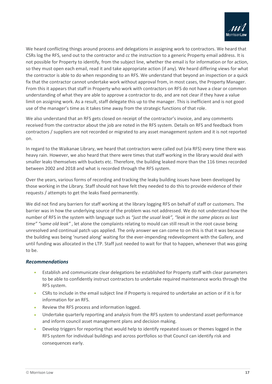

We heard conflicting things around process and delegations in assigning work to contractors. We heard that CSRs log the RFS, send out to the contractor and *cc* the instruction to a generic Property email address. It is not possible for Property to identify, from the subject line, whether the email is for information or for action, so they must open each email, read it and take appropriate action (if any). We heard differing views for what the contractor is able to do when responding to an RFS. We understand that beyond an inspection or a quick fix that the contractor cannot undertake work without approval from, in most cases, the Property Manager. From this it appears that staff in Property who work with contractors on RFS do not have a clear or common understanding of what they are able to approve a contractor to do, and are not clear if they have a value limit on assigning work. As a result, staff delegate this up to the manager. This is inefficient and is not good use of the manager's time as it takes time away from the strategic functions of that role.

We also understand that an RFS gets closed on receipt of the contractor's invoice, and any comments received from the contractor about the job are noted in the RFS system. Details on RFS and feedback from contractors / suppliers are not recorded or migrated to any asset management system and it is not reported on.

In regard to the Waikanae Library, we heard that contractors were called out (via RFS) every time there was heavy rain. However, we also heard that there were times that staff working in the library would deal with smaller leaks themselves with buckets etc. Therefore, the building leaked more than the 116 times recorded between 2002 and 2018 and what is recorded through the RFS system.

Over the years, various forms of recording and tracking the leaky building issues have been developed by those working in the Library. Staff should not have felt they needed to do this to provide evidence of their requests / attempts to get the leaks fixed permanently.

We did not find any barriers for staff working at the library logging RFS on behalf of staff or customers. The barrier was in how the underlying source of the problem was not addressed. We do not understand how the number of RFS in the system with language such as *"just the usual leak", "leak in the same places as last time" "same old leak"* , let alone the complaints relating to mould can still result in the root cause being unresolved and continual patch ups applied. The only answer we can come to on this is that it was because the building was being 'nursed along' waiting for the ever-impending redevelopment with the Gallery, and until funding was allocated in the LTP. Staff just needed to wait for that to happen, whenever that was going to be.

#### *Recommendations*

- Establish and communicate clear delegations be established for Property staff with clear parameters to be able to confidently instruct contractors to undertake required maintenance works through the RFS system.
- CSRs to include in the email subject line if Property is required to undertake an action or if it is for information for an RFS.
- Review the RFS process and information logged.
- Undertake quarterly reporting and analysis from the RFS system to understand asset performance and inform council asset management plans and decision making.
- Develop triggers for reporting that would help to identify repeated issues or themes logged in the RFS system for individual buildings and across portfolios so that Council can identify risk and consequences early.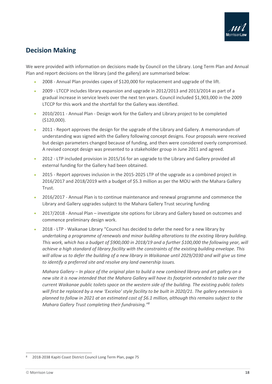

### <span id="page-20-0"></span>**Decision Making**

We were provided with information on decisions made by Council on the Library. Long Term Plan and Annual Plan and report decisions on the library (and the gallery) are summarised below:

- 2008 Annual Plan provides capex of \$120,000 for replacement and upgrade of the lift.
- 2009 LTCCP includes library expansion and upgrade in 2012/2013 and 2013/2014 as part of a gradual increase in service levels over the next ten years. Council included \$1,903,000 in the 2009 LTCCP for this work and the shortfall for the Gallery was identified.
- 2010/2011 Annual Plan Design work for the Gallery and Library project to be completed (\$120,000).
- 2011 Report approves the design for the upgrade of the Library and Gallery. A memorandum of understanding was signed with the Gallery following concept designs. Four proposals were received but design parameters changed because of funding, and then were considered overly compromised. A revised concept design was presented to a stakeholder group in June 2011 and agreed.
- 2012 LTP included provision in 2015/16 for an upgrade to the Library and Gallery provided all external funding for the Gallery had been obtained.
- 2015 Report approves inclusion in the 2015-2025 LTP of the upgrade as a combined project in 2016/2017 and 2018/2019 with a budget of \$5.3 million as per the MOU with the Mahara Gallery Trust.
- 2016/2017 Annual Plan is to continue maintenance and renewal programme and commence the Library and Gallery upgrades subject to the Mahara Gallery Trust securing funding
- 2017/2018 Annual Plan investigate site options for Library and Gallery based on outcomes and commence preliminary design work.
- 2018 LTP Waikanae Library "Council has decided to defer the need for a new library by *undertaking a programme of renewals and minor building alterations to the existing library building. This work, which has a budget of \$900,000 in 2018/19 and a further \$100,000 the following year, will achieve a high standard of library facility with the constraints of the existing building envelope. This will allow us to defer the building of a new library in Waikanae until 2029/2030 and will give us time to identify a preferred site and resolve any land ownership issues.*

*Mahara Gallery – In place of the original plan to build a new combined library and art gallery on a new site it is now intended that the Mahara Gallery will have its footprint extended to take over the current Waikanae public toilets space on the western side of the building. The existing public toilets will first be replaced by a new 'Exceloo' style facility to be built in 2020/21. The gallery extension is planned to follow in 2021 at an estimated cost of \$6.1 million, although this remains subject to the Mahara Gallery Trust completing their fundraising."<sup>8</sup>*

<sup>8</sup> 2018-2038 Kapiti Coast District Council Long Term Plan, page 75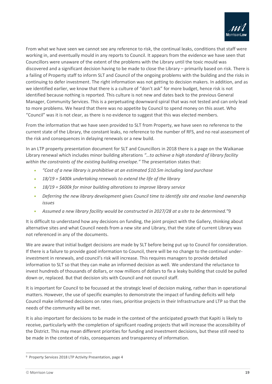

From what we have seen we cannot see any reference to risk, the continual leaks, conditions that staff were working in, and eventually mould in any reports to Council. It appears from the evidence we have seen that Councillors were unaware of the extent of the problems with the Library until the toxic mould was discovered and a significant decision having to be made to close the Library – primarily based on risk. There is a failing of Property staff to inform SLT and Council of the ongoing problems with the building and the risks in continuing to defer investment. The right information was not getting to decision makers. In addition, and as we identified earlier, we know that there is a culture of "don't ask" for more budget, hence risk is not identified because nothing is reported. This culture is not new and dates back to the previous General Manager, Community Services. This is a perpetuating downward spiral that was not tested and can only lead to more problems. We heard that there was no appetite by Council to spend money on this asset. Who "Council" was it is not clear, as there is no evidence to suggest that this was elected members.

From the information that we have seen provided to SLT from Property, we have seen no reference to the current state of the Library, the constant leaks, no reference to the number of RFS, and no real assessment of the risk and consequences in delaying renewals or a new build.

In an LTP property presentation document for SLT and Councillors in 2018 there is a page on the Waikanae Library renewal which includes minor building alterations *"…to achieve a high standard of library facility within the constraints of the existing building envelope."* The presentation states that:

- *"Cost of a new library is prohibitive at an estimated \$10.5m including land purchase*
- *18/19 = \$400k undertaking renewals to extend the life of the library*
- *18/19 = \$600k for minor building alterations to improve library service*
- *Deferring the new library development gives Council time to identify site and resolve land ownership issues*
- *Assumed a new library facility would be constructed in 2027/28 at a site to be determined."*9

It is difficult to understand how any decisions on funding, the joint project with the Gallery, thinking about alternative sites and what Council needs from a new site and Library, that the state of current Library was not referenced in any of the documents.

We are aware that initial budget decisions are made by SLT before being put up to Council for consideration. If there is a failure to provide good information to Council, there will be no change to the continual underinvestment in renewals, and council's risk will increase. This requires managers to provide detailed information to SLT so that they can make an informed decision as well. We understand the reluctance to invest hundreds of thousands of dollars, or now millions of dollars to fix a leaky building that could be pulled down or, replaced. But that decision sits with Council and not council staff.

It is important for Council to be focussed at the strategic level of decision making, rather than in operational matters. However, the use of specific examples to demonstrate the impact of funding deficits will help Council make informed decisions on rates rises, prioritise projects in their Infrastructure and LTP so that the needs of the community will be met.

It is also important for decisions to be made in the context of the anticipated growth that Kapiti is likely to receive, particularly with the completion of significant roading projects that will increase the accessibility of the District. This may mean different priorities for funding and investment decisions, but these still need to be made in the context of risks, consequences and transparency of information.

<sup>9</sup> Property Services 2018 LTP Activity Presentation, page 4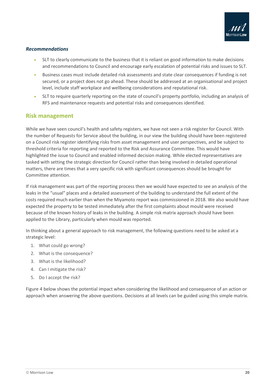

#### *Recommendations*

- SLT to clearly communicate to the business that it is reliant on good information to make decisions and recommendations to Council and encourage early escalation of potential risks and issues to SLT.
- Business cases must include detailed risk assessments and state clear consequences if funding is not secured, or a project does not go ahead. These should be addressed at an organisational and project level, include staff workplace and wellbeing considerations and reputational risk.
- SLT to require quarterly reporting on the state of council's property portfolio, including an analysis of RFS and maintenance requests and potential risks and consequences identified.

### <span id="page-22-0"></span>**Risk management**

While we have seen council's health and safety registers, we have not seen a risk register for Council. With the number of Requests for Service about the building, in our view the building should have been registered on a Council risk register identifying risks from asset management and user perspectives, and be subject to threshold criteria for reporting and reported to the Risk and Assurance Committee. This would have highlighted the issue to Council and enabled informed decision making. While elected representatives are tasked with setting the strategic direction for Council rather than being involved in detailed operational matters, there are times that a very specific risk with significant consequences should be brought for Committee attention.

If risk management was part of the reporting process then we would have expected to see an analysis of the leaks in the "usual" places and a detailed assessment of the building to understand the full extent of the costs required much earlier than when the Miyamoto report was commissioned in 2018. We also would have expected the property to be tested immediately after the first complaints about mould were received because of the known history of leaks in the building. A simple risk matrix approach should have been applied to the Library, particularly when mould was reported.

In thinking about a general approach to risk management, the following questions need to be asked at a strategic level:

- 1. What could go wrong?
- 2. What is the consequence?
- 3. What is the likelihood?
- 4. Can I mitigate the risk?
- 5. Do I accept the risk?

Figure 4 below shows the potential impact when considering the likelihood and consequence of an action or approach when answering the above questions. Decisions at all levels can be guided using this simple matrix.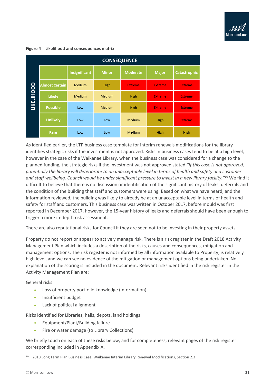

#### <span id="page-23-0"></span>**Figure 4 Likelihood and consequences matrix**

|                   | <b>CONSEQUENCE</b>    |                      |               |                 |                |                     |  |  |  |  |  |  |  |
|-------------------|-----------------------|----------------------|---------------|-----------------|----------------|---------------------|--|--|--|--|--|--|--|
|                   |                       | <b>Insignificant</b> | <b>Minor</b>  | <b>Moderate</b> | <b>Major</b>   | <b>Catastrophic</b> |  |  |  |  |  |  |  |
|                   | <b>Almost Certain</b> | <b>Medium</b>        | High          | <b>Extreme</b>  | <b>Extreme</b> | <b>Extreme</b>      |  |  |  |  |  |  |  |
| <b>LIKELIHOOD</b> | <b>Likely</b>         | Medium               | <b>Medium</b> | High            | <b>Extreme</b> | <b>Extreme</b>      |  |  |  |  |  |  |  |
|                   | <b>Possible</b>       | Low                  | <b>Medium</b> | High            | <b>Extreme</b> | <b>Extreme</b>      |  |  |  |  |  |  |  |
|                   | <b>Unlikely</b>       | Low                  | Low           | Medium          | High           | <b>Extreme</b>      |  |  |  |  |  |  |  |
|                   | Rare                  | Low                  | Low           | Medium          | High           | High                |  |  |  |  |  |  |  |

As identified earlier, the LTP business case template for interim renewals modifications for the library identifies strategic risks if the investment is not approved. Risks in business cases tend to be at a high level, however in the case of the Waikanae Library, when the business case was considered for a change to the planned funding, the strategic risks if the investment was not approved stated *"If this case is not approved, potentially the library will deteriorate to an unacceptable level in terms of health and safety and customer and staff wellbeing. Council would be under significant pressure to invest in a new library facility."*<sup>10</sup> We find it difficult to believe that there is no discussion or identification of the significant history of leaks, deferrals and the condition of the building that staff and customers were using. Based on what we have heard, and the information reviewed, the building was likely to already be at an unacceptable level in terms of health and safety for staff and customers. This business case was written in October 2017, before mould was first reported in December 2017, however, the 15-year history of leaks and deferrals should have been enough to trigger a more in-depth risk assessment.

There are also reputational risks for Council if they are seen not to be investing in their property assets.

Property do not report or appear to actively manage risk. There is a risk register in the Draft 2018 Activity Management Plan which includes a description of the risks, causes and consequences, mitigation and management options. The risk register is not informed by all information available to Property, is relatively high level, and we can see no evidence of the mitigation or management options being undertaken. No explanation of the scoring is included in the document. Relevant risks identified in the risk register in the Activity Management Plan are:

General risks

- Loss of property portfolio knowledge (information)
- Insufficient budget
- Lack of political alignment

Risks identified for Libraries, halls, depots, land holdings

- Equipment/Plant/Building failure
- Fire or water damage (to Library Collections)

We briefly touch on each of these risks below, and for completeness, relevant pages of the risk register corresponding included in Appendix A.

<sup>10</sup> 2018 Long Term Plan Business Case, Waikanae Interim Library Renewal Modifications, Section 2.3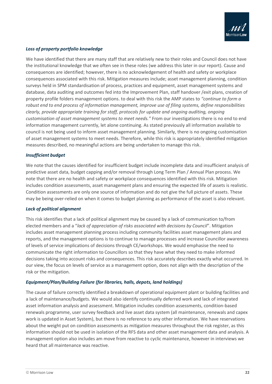

#### *Loss of property portfolio knowledge*

We have identified that there are many staff that are relatively new to their roles and Council does not have the institutional knowledge that we often see in these roles (we address this later in our report). Cause and consequences are identified; however, there is no acknowledgement of health and safety or workplace consequences associated with this risk. Mitigation measures include; asset management planning, condition surveys held in SPM standardisation of process, practices and equipment, asset management systems and database, data auditing and outcomes fed into the Improvement Plan, staff handover /exit plans, creation of property profile folders management options. to deal with this risk the AMP states to *"continue to form a robust end to end process of information management, improve use of filing systems, define responsibilities clearly, provide appropriate training for staff, protocols for update and ongoing auditing, ongoing customisation of asset management systems to meet needs."* From our investigations there is no end to end information management currently, let alone continuing. As stated previously all information available to council is not being used to inform asset management planning. Similarly, there is no ongoing customisation of asset management systems to meet needs. Therefore, while this risk is appropriately identified mitigation measures described, no meaningful actions are being undertaken to manage this risk.

#### *Insufficient budget*

We note that the causes identified for insufficient budget include incomplete data and insufficient analysis of predictive asset data, budget capping and/or removal through Long Term Plan / Annual Plan process. We note that there are no health and safety or workplace consequences identified with this risk. Mitigation includes condition assessments, asset management plans and ensuring the expected life of assets is realistic. Condition assessments are only one source of information and do not give the full picture of assets. These may be being over-relied on when it comes to budget planning as performance of the asset is also relevant.

#### *Lack of political alignment*

This risk identifies that a lack of political alignment may be caused by a lack of communication to/from elected members and a "*lack of appreciation of risks associated with decisions by Council*". Mitigation includes asset management planning process including community facilities asset management plans and reports, and the management options is to continue to manage processes and increase Councillor awareness of levels of service implications of decisions through CE/workshops. We would emphasise the need to communicate the right information to Councillors so that they have what they need to make informed decisions taking into account risks and consequences. This risk accurately describes exactly what occurred. In our view, the focus on levels of service as a management option, does not align with the description of the risk or the mitigation.

#### *Equipment/Plan/Building Failure (for libraries, halls, depots, land holdings)*

The cause of failure correctly identified a breakdown of operational equipment plant or building facilities and a lack of maintenance/budgets. We would also identify continually deferred work and lack of integrated asset information analysis and assessment. Mitigation includes condition assessments, condition-based renewals programme, user survey feedback and live asset data system (all maintenance, renewals and capex work is updated in Asset System), but there is no reference to any other information. We have reservations about the weight put on condition assessments as mitigation measures throughout the risk register, as this information should not be used in isolation of the RFS data and other asset management data and analysis. A management option also includes am move from reactive to cyclic maintenance, however in interviews we heard that all maintenance was reactive.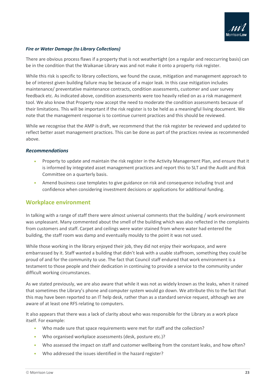

#### *Fire or Water Damage (to Library Collections)*

There are obvious process flaws if a property that is not weathertight (on a regular and reoccurring basis) can be in the condition that the Waikanae Library was and not make it onto a property risk register.

While this risk is specific to library collections, we found the cause, mitigation and management approach to be of interest given building failure may be because of a major leak. In this case mitigation includes maintenance/ preventative maintenance contracts, condition assessments, customer and user survey feedback etc. As indicated above, condition assessments were too heavily relied on as a risk management tool. We also know that Property now accept the need to moderate the condition assessments because of their limitations. This will be important if the risk register is to be held as a meaningful living document. We note that the management response is to continue current practices and this should be reviewed.

While we recognise that the AMP is draft, we recommend that the risk register be reviewed and updated to reflect better asset management practices. This can be done as part of the practices review as recommended above.

#### *Recommendations*

- Property to update and maintain the risk register in the Activity Management Plan, and ensure that it is informed by integrated asset management practices and report this to SLT and the Audit and Risk Committee on a quarterly basis.
- Amend business case templates to give guidance on risk and consequence including trust and confidence when considering investment decisions or applications for additional funding.

#### <span id="page-25-0"></span>**Workplace environment**

In talking with a range of staff there were almost universal comments that the building / work environment was unpleasant. Many commented about the smell of the building which was also reflected in the complaints from customers and staff. Carpet and ceilings were water stained from where water had entered the building, the staff room was damp and eventually mouldy to the point it was not used.

While those working in the library enjoyed their job, they did not enjoy their workspace, and were embarrassed by it. Staff wanted a building that didn't leak with a usable staffroom, something they could be proud of and for the community to use. The fact that Council staff endured that work environment is a testament to those people and their dedication in continuing to provide a service to the community under difficult working circumstances.

As we stated previously, we are also aware that while it was not as widely known as the leaks, when it rained that sometimes the Library's phone and computer system would go down. We attribute this to the fact that this may have been reported to an IT help desk, rather than as a standard service request, although we are aware of at least one RFS relating to computers.

It also appears that there was a lack of clarity about who was responsible for the Library as a work place itself. For example:

- Who made sure that space requirements were met for staff and the collection?
- Who organised workplace assessments (desk, posture etc.)?
- Who assessed the impact on staff and customer wellbeing from the constant leaks, and how often?
- Who addressed the issues identified in the hazard register?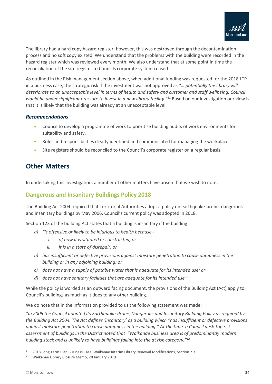

The library had a hard copy hazard register; however, this was destroyed through the decontamination process and no soft copy existed. We understand that the problems with the building were recorded in the hazard register which was reviewed every month. We also understand that at some point in time the reconciliation of the site register to Councils corporate system ceased.

As outlined in the Risk management section above, when additional funding was requested for the 2018 LTP in a business case, the strategic risk if the investment was not approved as *"… potentially the library will deteriorate to an unacceptable level in terms of health and safety and customer and staff wellbeing. Council would be under significant pressure to invest in a new library facility."*<sup>11</sup> Based on our investigation our view is that it is likely that the building was already at an unacceptable level.

#### *Recommendations*

- Council to develop a programme of work to prioritise building audits of work environments for suitability and safety.
- Roles and responsibilities clearly identified and communicated for managing the workplace.
- Site registers should be reconciled to the Council's corporate register on a regular basis.

### <span id="page-26-0"></span>**Other Matters**

In undertaking this investigation, a number of other matters have arisen that we wish to note.

### <span id="page-26-1"></span>**Dangerous and Insanitary Buildings Policy 2018**

The Building Act 2004 required that Territorial Authorities adopt a policy on earthquake-prone, dangerous and insanitary buildings by May 2006. Council's current policy was adopted in 2018.

Section 123 of the building Act states that a building is insanitary if the building

- *a) "is offensive or likely to be injurious to health because* 
	- *i. of how it is situated or constructed; or*
	- *ii. it is in a state of disrepair; or*
- *b) has insufficient or defective provisions against moisture penetration to cause dampness in the building or in any adjoining building; or*
- *c) does not have a supply of potable water that is adequate for its intended use; or*
- *d) does not have sanitary facilities that are adequate for its intended use."*

While the policy is worded as an outward facing document, the provisions of the Building Act (Act) apply to Council's buildings as much as it does to any other building.

We do note that in the information provided to us the following statement was made:

*"In 2006 the Council adopted its Earthquake-Prone, Dangerous and Insanitary Building Policy as required by the Building Act 2004. The Act defines 'insanitary' as a building which "has insufficient or defective provisions against moisture penetration to cause dampness in the building." At the time, a Council desk-top risk assessment of buildings in the District noted that "Waikanae business area is of predominantly modern building stock and is unlikely to have buildings falling into the at risk category."<sup>12</sup>*

<sup>11</sup> 2018 Long Term Plan Business Case, Waikanae Interim Library Renewal Modifications, Section 2.3

<sup>12</sup> Waikanae Library Closure Memo, 28 January 2019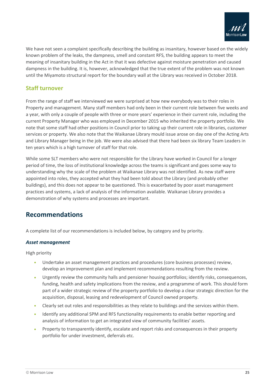

We have not seen a complaint specifically describing the building as insanitary, however based on the widely known problem of the leaks, the dampness, smell and constant RFS, the building appears to meet the meaning of insanitary building in the Act in that it was defective against moisture penetration and caused dampness in the building. It is, however, acknowledged that the true extent of the problem was not known until the Miyamoto structural report for the boundary wall at the Library was received in October 2018.

### <span id="page-27-0"></span>**Staff turnover**

From the range of staff we interviewed we were surprised at how new everybody was to their roles in Property and management. Many staff members had only been in their current role between five weeks and a year, with only a couple of people with three or more years' experience in their current role, including the current Property Manager who was employed in December 2015 who inherited the property portfolio. We note that some staff had other positions in Council prior to taking up their current role in libraries, customer services or property. We also note that the Waikanae Library mould issue arose on day one of the Acting Arts and Library Manager being in the job. We were also advised that there had been six library Team Leaders in ten years which is a high turnover of staff for that role.

While some SLT members who were not responsible for the Library have worked in Council for a longer period of time, the loss of institutional knowledge across the teams is significant and goes some way to understanding why the scale of the problem at Waikanae Library was not identified. As new staff were appointed into roles, they accepted what they had been told about the Library (and probably other buildings), and this does not appear to be questioned. This is exacerbated by poor asset management practices and systems, a lack of analysis of the information available. Waikanae Library provides a demonstration of why systems and processes are important.

### <span id="page-27-1"></span>**Recommendations**

A complete list of our recommendations is included below, by category and by priority.

#### *Asset management*

High priority

- Undertake an asset management practices and procedures (core business processes) review, develop an improvement plan and implement recommendations resulting from the review.
- Urgently review the community halls and pensioner housing portfolios; identify risks, consequences, funding, health and safety implications from the review, and a programme of work. This should form part of a wider strategic review of the property portfolio to develop a clear strategic direction for the acquisition, disposal, leasing and redevelopment of Council owned property.
- Clearly set out roles and responsibilities as they relate to buildings and the services within them.
- Identify any additional SPM and RFS functionality requirements to enable better reporting and analysis of information to get an integrated view of community facilities' assets.
- Property to transparently identify, escalate and report risks and consequences in their property portfolio for under investment, deferrals etc.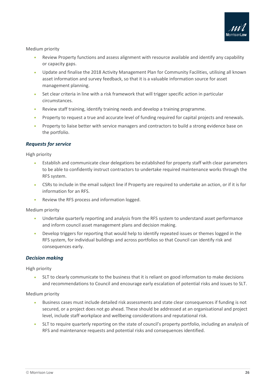

Medium priority

- Review Property functions and assess alignment with resource available and identify any capability or capacity gaps.
- Update and finalise the 2018 Activity Management Plan for Community Facilities, utilising all known asset information and survey feedback, so that it is a valuable information source for asset management planning.
- Set clear criteria in line with a risk framework that will trigger specific action in particular circumstances.
- Review staff training, identify training needs and develop a training programme.
- Property to request a true and accurate level of funding required for capital projects and renewals.
- Property to liaise better with service managers and contractors to build a strong evidence base on the portfolio.

#### *Requests for service*

High priority

- Establish and communicate clear delegations be established for property staff with clear parameters to be able to confidently instruct contractors to undertake required maintenance works through the RFS system.
- CSRs to include in the email subject line if Property are required to undertake an action, or if it is for information for an RFS.
- Review the RFS process and information logged.

Medium priority

- Undertake quarterly reporting and analysis from the RFS system to understand asset performance and inform council asset management plans and decision making.
- Develop triggers for reporting that would help to identify repeated issues or themes logged in the RFS system, for individual buildings and across portfolios so that Council can identify risk and consequences early.

#### *Decision making*

High priority

• SLT to clearly communicate to the business that it is reliant on good information to make decisions and recommendations to Council and encourage early escalation of potential risks and issues to SLT.

Medium priority

- Business cases must include detailed risk assessments and state clear consequences if funding is not secured, or a project does not go ahead. These should be addressed at an organisational and project level, include staff workplace and wellbeing considerations and reputational risk.
- SLT to require quarterly reporting on the state of council's property portfolio, including an analysis of RFS and maintenance requests and potential risks and consequences identified.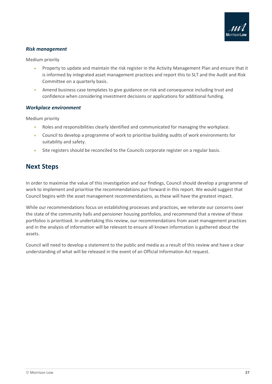

#### *Risk management*

Medium priority

- Property to update and maintain the risk register in the Activity Management Plan and ensure that it is informed by integrated asset management practices and report this to SLT and the Audit and Risk Committee on a quarterly basis.
- Amend business case templates to give guidance on risk and consequence including trust and confidence when considering investment decisions or applications for additional funding.

#### *Workplace environment*

Medium priority

- Roles and responsibilities clearly identified and communicated for managing the workplace.
- Council to develop a programme of work to prioritise building audits of work environments for suitability and safety.
- Site registers should be reconciled to the Councils corporate register on a regular basis.

### <span id="page-29-0"></span>**Next Steps**

In order to maximise the value of this investigation and our findings, Council should develop a programme of work to implement and prioritise the recommendations put forward in this report. We would suggest that Council begins with the asset management recommendations, as these will have the greatest impact.

While our recommendations focus on establishing processes and practices, we reiterate our concerns over the state of the community halls and pensioner housing portfolios, and recommend that a review of these portfolios is prioritised. In undertaking this review, our recommendations from asset management practices and in the analysis of information will be relevant to ensure all known information is gathered about the assets.

Council will need to develop a statement to the public and media as a result of this review and have a clear understanding of what will be released in the event of an Official Information Act request.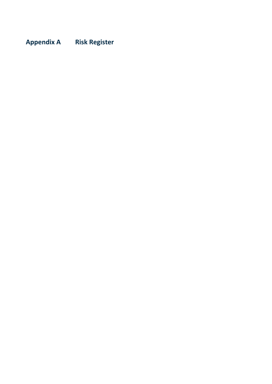# <span id="page-30-0"></span>**Appendix A Risk Register**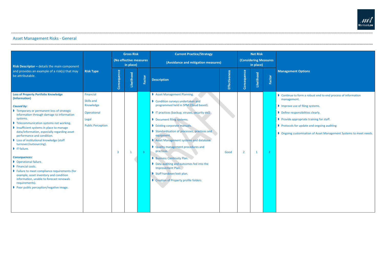## Asset Management Risks - General

|                                                                                                                                                                                                                                                                                                                                                                                                                                                                                                                                                                                                                                                                                                                                                     |                                                                                          | <b>Gross Risk</b>                   |              |                         | <b>Current Practice/Strategy</b>                                                                                                                                                                                                                                                                                                                                                                                                                                                                                                                                           |               |                                           | <b>Net Risk</b> |                |                                                                                                                              |
|-----------------------------------------------------------------------------------------------------------------------------------------------------------------------------------------------------------------------------------------------------------------------------------------------------------------------------------------------------------------------------------------------------------------------------------------------------------------------------------------------------------------------------------------------------------------------------------------------------------------------------------------------------------------------------------------------------------------------------------------------------|------------------------------------------------------------------------------------------|-------------------------------------|--------------|-------------------------|----------------------------------------------------------------------------------------------------------------------------------------------------------------------------------------------------------------------------------------------------------------------------------------------------------------------------------------------------------------------------------------------------------------------------------------------------------------------------------------------------------------------------------------------------------------------------|---------------|-------------------------------------------|-----------------|----------------|------------------------------------------------------------------------------------------------------------------------------|
| <b>Risk Descriptor</b> $-$ details the main component                                                                                                                                                                                                                                                                                                                                                                                                                                                                                                                                                                                                                                                                                               |                                                                                          | (No effective measures<br>in place) |              |                         | (Avoidance and mitigation measures)                                                                                                                                                                                                                                                                                                                                                                                                                                                                                                                                        |               | <b>(Considering Measures</b><br>in place) |                 |                |                                                                                                                              |
| and provides an example of a risk(s) that may<br>be attributable.                                                                                                                                                                                                                                                                                                                                                                                                                                                                                                                                                                                                                                                                                   | <b>Risk Type</b>                                                                         | Consequence                         | Likelihood   | Factor                  | <b>Description</b>                                                                                                                                                                                                                                                                                                                                                                                                                                                                                                                                                         | Effectiveness | Consequence                               | Likelihood      | Factor         | <b>Management 0</b>                                                                                                          |
| <b>Loss of Property Portfolio Knowledge</b><br>(Information)<br><b>Caused by:</b><br>Temporary or permanent loss of strategic<br>information through damage to information<br>systems.<br>Telecommunication systems not working.<br>Insufficient systems in place to manage<br>data/information, especially regarding asset<br>performance and condition.<br>Loss of institutional knowledge (staff<br>turnover/outsourcing).<br>$\blacksquare$ IT failure.<br><b>Consequences:</b><br>Operational failure.<br>Financial costs.<br>lacktriangleright Failure to meet compliance requirements (for<br>example, asset inventory and condition<br>information, unable to forecast renewals<br>requirements).<br>Poor public perception/negative image. | Financial<br>Skills and<br>Knowledge<br>Operational<br>Legal<br><b>Public Perception</b> | $\overline{3}$                      | $\mathbf{1}$ | $\overline{\mathbf{3}}$ | Asset Management Planning.<br>Condition surveys undertaken and<br>programmed held in SPM (Cloud based).<br>I IT practices (backup, viruses, security etc).<br>Document filing systems.<br>Existing corporate manuals.<br>Standardisation of processes, practices and<br>equipment.<br>Asset Management systems and database.<br><b>D</b> Quality management procedures and<br>practices.<br><b>Business Continuity Plan.</b><br>D Data auditing and outcomes fed into the<br><b>Improvement Plan.</b><br>Staff handover/exit plan.<br>Creation of Property profile folders | Good          | $\overline{2}$                            | $\mathbf{1}$    | 2 <sup>1</sup> | Continue to fo<br>management.<br>Improve use of<br>Define respon<br>Provide appro<br>Protocols for<br><b>D</b> Ongoing custo |
|                                                                                                                                                                                                                                                                                                                                                                                                                                                                                                                                                                                                                                                                                                                                                     |                                                                                          |                                     |              |                         |                                                                                                                                                                                                                                                                                                                                                                                                                                                                                                                                                                            |               |                                           |                 |                |                                                                                                                              |



### **Management Options**

- ue to form a robust end to end process of information
- ve use of filing systems.
- **Presponsibilities clearly.**
- e appropriate training for staff.
- $\cos$  for update and ongoing auditing
- ng customisation of Asset Management Systems to meet needs.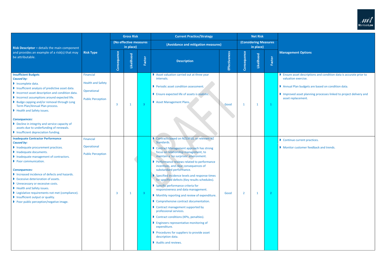|                                                                                                                                                                                                                                                                                                                                                                                                                                                                                                             |                                                                                  | <b>Gross Risk</b> |                                     |                | <b>Current Practice/Strategy</b>                                                                                                                                                                                                                                                                                                                                                                                                                                                                                                                                                                                                                                                                                                                                                                                                                     |               |                               | <b>Net Risk</b> |              |                                                                                           |  |
|-------------------------------------------------------------------------------------------------------------------------------------------------------------------------------------------------------------------------------------------------------------------------------------------------------------------------------------------------------------------------------------------------------------------------------------------------------------------------------------------------------------|----------------------------------------------------------------------------------|-------------------|-------------------------------------|----------------|------------------------------------------------------------------------------------------------------------------------------------------------------------------------------------------------------------------------------------------------------------------------------------------------------------------------------------------------------------------------------------------------------------------------------------------------------------------------------------------------------------------------------------------------------------------------------------------------------------------------------------------------------------------------------------------------------------------------------------------------------------------------------------------------------------------------------------------------------|---------------|-------------------------------|-----------------|--------------|-------------------------------------------------------------------------------------------|--|
| Risk Descriptor - details the main component                                                                                                                                                                                                                                                                                                                                                                                                                                                                |                                                                                  |                   | (No effective measures<br>in place) |                | (Avoidance and mitigation measures)                                                                                                                                                                                                                                                                                                                                                                                                                                                                                                                                                                                                                                                                                                                                                                                                                  |               | <b>(Considering Measures)</b> |                 |              |                                                                                           |  |
| and provides an example of a risk(s) that may<br>be attributable.                                                                                                                                                                                                                                                                                                                                                                                                                                           | <b>Risk Type</b>                                                                 | Consequence       | Likelihood                          | Factor         | <b>Description</b>                                                                                                                                                                                                                                                                                                                                                                                                                                                                                                                                                                                                                                                                                                                                                                                                                                   | Effectiveness | Consequence                   | Likelihood      | Factor       | <b>Manag</b>                                                                              |  |
| <b>Insufficient Budgets</b><br><b>Caused by:</b><br>Incomplete data.<br>Insufficient analysis of predictive asset data.<br>Incorrect asset description and condition data.<br>Incorrect assumptions around expected life.<br>▶ Budge capping and/or removal through Long<br>Term Plan/Annual Plan process.<br>Health and Safety issues.<br><b>Consequences:</b><br>Decline in integrity and service capacity of<br>assets due to underfunding of renewals.<br>Insufficient depreciation funding.            | Financial<br><b>Health and Safety</b><br>Operational<br><b>Public Perception</b> | $\overline{3}$    | $\mathbf{1}$                        | $\overline{3}$ | Asset valuation carried out at three year<br>intervals.<br>Periodic asset condition assessment.<br><b>D</b> Ensure expected life of assets is realistic.<br>Asset Management Plans.                                                                                                                                                                                                                                                                                                                                                                                                                                                                                                                                                                                                                                                                  | Good          | $\mathbf{1}$                  | $\mathbf{1}$    | $\mathbf{1}$ | $\triangleright$ Ensur<br>valua<br>$\triangleright$ Annu<br>$\blacksquare$ Impro<br>asset |  |
| <b>Inadequate Contractor Performance</b><br><b>Caused by:</b><br>Inadequate procurement practices.<br>Inadequate documents.<br>Inadequate management of contractors.<br>Poor communication.<br><b>Consequences:</b><br>Increased incidence of defects and hazards.<br>Excessive deterioration of assets.<br>Unnecessary or excessive costs.<br>Health and Safety issues.<br>▶ Legislative requirements not met (compliance).<br>Insufficient output or quality.<br>▶ Poor public perception/negative image. | Financial<br>Operational<br><b>Public Perception</b>                             | 3                 | $\mathbf{1}$                        | $\mathbf{3}$   | Contracts based on NZS3910, or relevant NZ<br>Standards.<br>Contract Management approach has strong<br>focus on relationship management, to<br>maintain a 'no surprises' environment.<br>Performance reviews related to performance<br>incentives, and clear consequences of<br>substandard performance.<br>Specified incidence levels and response times<br>for specified defects (Key results schedules).<br>Specific performance criteria for<br>responsiveness and data management.<br>Monthly reporting and review of expenditure.<br>Comprehensive contract documentation.<br>Contract management supported by<br>professional services.<br>Contract conditions (KPIs, penalties).<br><b>D</b> Engineers representative monitoring of<br>expenditure.<br>Procedures for suppliers to provide asset<br>description data.<br>Audits and reviews. | Good          | $\overline{2}$                | $\mathbf 1$     | $\mathbf{2}$ | Conti<br>Moni                                                                             |  |



### **Management Options**

are asset descriptions and condition data is accurate prior to ation exercise.

ual Plan budgets are based on condition data.

roved asset planning processes linked to project delivery and t replacement.

tinue current practices.

itor customer feedback and trends.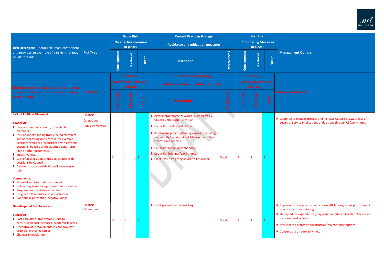|                                                                                                                                                                                                                                                                                                                                                                                                                                                                                                                                                                                                                                                                                                                                                          |                                                      |                                     | <b>Gross Risk</b>                   |                         | <b>Current Practice/Strategy</b>                                                                                                                                                                                                                                                                                                                                                    |                                     |                                           | <b>Net Risk</b> |                                            |                                                                  |  |  |
|----------------------------------------------------------------------------------------------------------------------------------------------------------------------------------------------------------------------------------------------------------------------------------------------------------------------------------------------------------------------------------------------------------------------------------------------------------------------------------------------------------------------------------------------------------------------------------------------------------------------------------------------------------------------------------------------------------------------------------------------------------|------------------------------------------------------|-------------------------------------|-------------------------------------|-------------------------|-------------------------------------------------------------------------------------------------------------------------------------------------------------------------------------------------------------------------------------------------------------------------------------------------------------------------------------------------------------------------------------|-------------------------------------|-------------------------------------------|-----------------|--------------------------------------------|------------------------------------------------------------------|--|--|
| <b>Risk Descriptor</b> $-$ details the main component                                                                                                                                                                                                                                                                                                                                                                                                                                                                                                                                                                                                                                                                                                    |                                                      | (No effective measures<br>in place) |                                     |                         |                                                                                                                                                                                                                                                                                                                                                                                     | (Avoidance and mitigation measures) |                                           |                 | <b>(Considering Measures)</b><br>in place) |                                                                  |  |  |
| and provides an example of a risk(s) that may<br>be attributable.                                                                                                                                                                                                                                                                                                                                                                                                                                                                                                                                                                                                                                                                                        | <b>Risk Type</b>                                     | Consequence                         | Likelihood                          | Factor                  | <b>Description</b>                                                                                                                                                                                                                                                                                                                                                                  | Effectiveness                       | Consequence                               | Likelihood      | Factor                                     | <b>Manag</b>                                                     |  |  |
|                                                                                                                                                                                                                                                                                                                                                                                                                                                                                                                                                                                                                                                                                                                                                          |                                                      |                                     | <b>Gross Risk</b>                   |                         | <b>Current Practice/Strategy</b>                                                                                                                                                                                                                                                                                                                                                    |                                     |                                           | <b>Net Risk</b> |                                            |                                                                  |  |  |
| <b>Risk Descriptor</b> $-$ details the main component                                                                                                                                                                                                                                                                                                                                                                                                                                                                                                                                                                                                                                                                                                    |                                                      |                                     | (No effective measures<br>in place) |                         | (Avoidance and mitigation measures)                                                                                                                                                                                                                                                                                                                                                 |                                     | <b>(Considering Measures</b><br>in place) |                 |                                            |                                                                  |  |  |
| and provides an example of a risk(s) that may<br>be attributable.                                                                                                                                                                                                                                                                                                                                                                                                                                                                                                                                                                                                                                                                                        | <b>Risk Type</b>                                     | Consequence                         | Likelihood                          | Factor                  | <b>Description</b>                                                                                                                                                                                                                                                                                                                                                                  | <b>Effectiveness</b>                | Consequence                               | Likelihood      | Factor                                     | <b>Managen</b>                                                   |  |  |
| <b>Lack of Political Alignment</b><br><b>Caused by:</b><br>lack of communication to/from elected<br>members.<br>lack of understanding from elected members<br>and not following due process (for example,<br>decisions which are inconsistent with previous<br>decisions, policies or the adopted Long Term<br>Plan or other documents.<br>Indecisiveness.<br>lack of appreciation of risks associated with<br>decisions by Council.<br>Decisions made outside Council governance<br>role.<br><b>Consequences:</b><br><b>D</b> Essential services under-resourced.<br>Delays may result in significant cost escalation.<br>Programmes not delivered on time.<br><b>D</b> Long Term Plan outcomes not achieved.<br>Poor public perception/negative image. | Financial<br>Operational<br><b>Public Perception</b> | 3                                   | -1                                  | 3                       | Agreed programme of works is signed off by<br><b>Council under Long Term Plan</b><br>Councillor's roles well defined.<br>Asset management planning process, including<br><b>Community Facilities Asset Management Plans</b><br>("core") and reports.<br>Councillor induction/handbook.<br>Councillor briefings/workshops.<br><b>D</b> Chief Executive giving advice to Councillors. | Good                                | $\overline{2}$                            | $\mathbf{1}$    | $\overline{2}$                             | Continu<br>Levels c                                              |  |  |
| <b>Unanticipated Cost Increases</b><br><b>Caused by:</b><br>Cost escalations (for example, due to<br>construction cost increases, economic failures).<br><b>I</b> Uncontrollable movements in economy (for<br>example, exchange rates).<br>Changes in legislation.                                                                                                                                                                                                                                                                                                                                                                                                                                                                                       | Financial<br>Operational                             | 3                                   | $\mathbf 1$                         | $\overline{\mathbf{3}}$ | <b>D</b> Local government networking.                                                                                                                                                                                                                                                                                                                                               | Good                                | $\overline{2}$                            | $\mathbf{1}$    | $\overline{2}$                             | Improve<br>practice<br>Defer/r<br>increase<br>Investig<br>Concen |  |  |



### **Management Options**

ue to manage process and increase Councillor awareness of of Service implications of decisions through CE/workshops.

lumprove current practices – increase efficiencies, smart procurement es, cost monitoring.

reduce expenditure (may result in reduced Levels of Service or  $\frac{1}{\pi}$  increased rest of life cost).

gate alternative construction/maintenance options.

ntrate on core activities.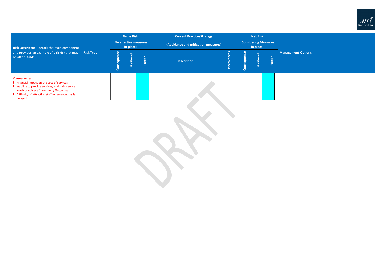### **Management Options**

| <b>Risk Descriptor</b> - details the main component                                                                                                                                                                           |                  | <b>Gross Risk</b><br>(No effective measures<br>in place)                                                                                                                                                         |  |            | <b>Current Practice/Strategy</b>    |       |                                           | <b>Net Risk</b> |  |  |  |
|-------------------------------------------------------------------------------------------------------------------------------------------------------------------------------------------------------------------------------|------------------|------------------------------------------------------------------------------------------------------------------------------------------------------------------------------------------------------------------|--|------------|-------------------------------------|-------|-------------------------------------------|-----------------|--|--|--|
|                                                                                                                                                                                                                               |                  |                                                                                                                                                                                                                  |  |            | (Avoidance and mitigation measures) |       | <b>(Considering Measures</b><br>in place) |                 |  |  |  |
| and provides an example of a risk(s) that may<br>be attributable.                                                                                                                                                             | <b>Risk Type</b> | uence<br>$\omega$<br>ess<br>ō<br>Likelihood<br>$\overline{a}$<br>Factor<br><b>Description</b><br><b>Effective</b><br>$\bar{\sigma}$<br>$\bar{\bm{\sigma}}$<br>$\tilde{\mathbf{\omega}}$<br><b>v</b><br>Con<br>ပြ |  | Likelihood | Factor                              | Manag |                                           |                 |  |  |  |
| <b>Consequences:</b><br>I Financial impact on the cost of services.<br>Inability to provide services, maintain service<br>levels or achieve Community Outcomes.<br>Difficulty of attracting staff when economy is<br>buoyant. |                  |                                                                                                                                                                                                                  |  |            |                                     |       |                                           |                 |  |  |  |

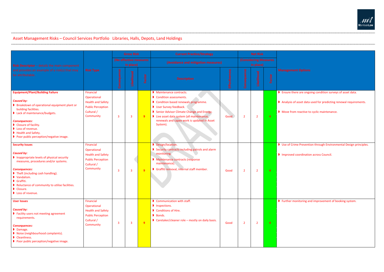## Asset Management Risks – Council Services Portfolio Libraries, Halls, Depots, Land Holdings

|                                                                                                                                                                                                                                                                                                           | <b>Risk Type</b>                                                                                            | <b>Gross Risk</b><br>(No effective measures<br>in place) |                         |        | <b>Current Practice/Strategy</b>                                                                                                                                                                                                                                     |                      |                                           | <b>Net Risk</b> |                |                                                  |  |
|-----------------------------------------------------------------------------------------------------------------------------------------------------------------------------------------------------------------------------------------------------------------------------------------------------------|-------------------------------------------------------------------------------------------------------------|----------------------------------------------------------|-------------------------|--------|----------------------------------------------------------------------------------------------------------------------------------------------------------------------------------------------------------------------------------------------------------------------|----------------------|-------------------------------------------|-----------------|----------------|--------------------------------------------------|--|
| <b>Risk Descriptor</b> - details the main component<br>and provides an example of a risk(s) that may<br>be attributable.                                                                                                                                                                                  |                                                                                                             |                                                          |                         |        | (Avoidance and mitigation measures)                                                                                                                                                                                                                                  |                      | <b>(Considering Measures</b><br>in place) |                 |                |                                                  |  |
|                                                                                                                                                                                                                                                                                                           |                                                                                                             | Consequence                                              | Likelihood              | Factor | <b>Description</b>                                                                                                                                                                                                                                                   | <b>Effectiveness</b> | Consequence                               | Likelihood      | Factor         | <b>Manage</b>                                    |  |
| <b>Equipment/Plant/Building Failure</b><br><b>Caused by:</b><br>Breakdown of operational equipment plant or<br>building facilities.<br>lack of maintenance/budgets.<br><b>Consequences:</b><br>Closure of facility.<br>Loss of revenue.<br>Health and Safety.<br>▶ Poor public perception/negative image. | Financial<br>Operational<br><b>Health and Safety</b><br><b>Public Perception</b><br>Cultural /<br>Community | 3                                                        | 3                       | 9      | Maintenance contracts.<br>Condition assessments.<br>Condition based renewals programme.<br>User Survey feedback.<br>Senior Advisor Climate Change and Energy.<br>live asset data system (all maintenance,<br>renewals and capex work is updated in Asset<br>System). | Good                 | $\overline{2}$                            | $\overline{2}$  | $\overline{4}$ | $\triangleright$ Ensure<br><b>Analys</b><br>Move |  |
| <b>Security Issues</b><br><b>Caused by:</b><br>Inappropriate levels of physical security<br>measures, procedures and/or systems.<br><b>Consequences:</b><br>Theft (including cash handling).<br>Vandalism.<br>Graffiti.<br>Reluctance of community to utilise facilities.<br>Closure.<br>Loss of revenue. | Financial<br>Operational<br><b>Health and Safety</b><br><b>Public Perception</b><br>Cultural /<br>Community | 3                                                        | $\overline{3}$          | 9      | Design/location.<br>Security contracts including patrols and alarm<br>monitoring.<br>Maintenance contracts (response<br>maintenance).<br>Graffiti removal, internal staff member.                                                                                    | Good                 | $\overline{2}$                            | $\overline{2}$  | $\overline{4}$ | Use of<br>$\blacksquare$ Impro                   |  |
| <b>User Issues</b><br><b>Caused by:</b><br><b>D</b> Facility users not meeting agreement<br>requirements.<br><b>Consequences:</b><br>Damage.<br>Noise (neighbourhood complaints).<br>Cleanliness.<br>Poor public perception/negative image.                                                               | Financial<br>Operational<br><b>Health and Safety</b><br><b>Public Perception</b><br>Cultural /<br>Community | 3                                                        | $\overline{\mathbf{3}}$ | 9      | Communication with staff.<br>Inspections.<br>Conditions of Hire.<br>Bonds.<br>Caretaker/cleaner role - mostly on daily basis.                                                                                                                                        | Good                 | $\overline{2}$                            | $\overline{2}$  | $\overline{4}$ | $\triangleright$ Furthe                          |  |



re there are ongoing condition surveys of asset data.

rsis of asset data used for predicting renewal requirements.

**Sequipt Advisor Change Energy Energy Energy Energy** energy.

f Crime Prevention through Environmental Design principles.

bout and Safetia and Safetia and Safetian across Council.

ner monitoring and improvement of booking system.